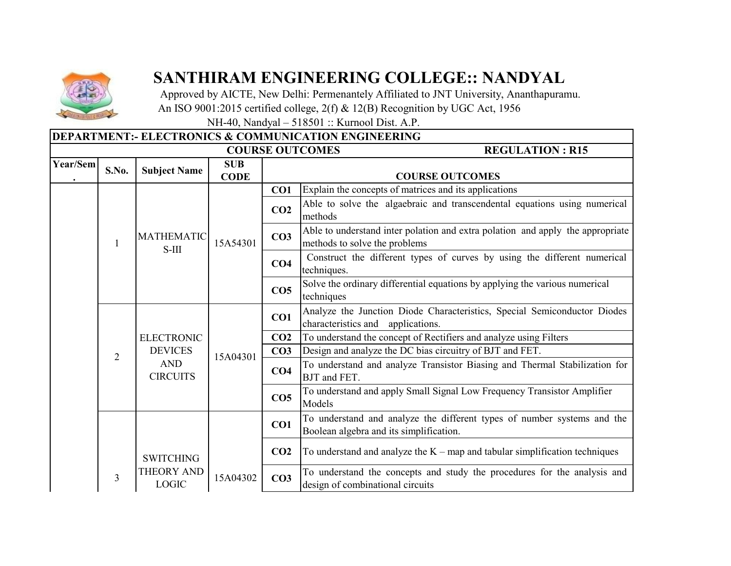

## **SANTHIRAM ENGINEERING COLLEGE:: NANDYAL**

 Approved by AICTE, New Delhi: Permenantely Affiliated to JNT University, Ananthapuramu. An ISO 9001:2015 certified college, 2(f) & 12(B) Recognition by UGC Act, 1956

NH-40, Nandyal – 518501 :: Kurnool Dist. A.P.

## **DEPARTMENT:- ELECTRONICS & COMMUNICATION ENGINEERING**

|          |                |                                                 |                           |                 | <b>COURSE OUTCOMES</b><br><b>REGULATION: R15</b>                                                                   |
|----------|----------------|-------------------------------------------------|---------------------------|-----------------|--------------------------------------------------------------------------------------------------------------------|
| Year/Sem | S.No.          | <b>Subject Name</b>                             | <b>SUB</b><br><b>CODE</b> |                 | <b>COURSE OUTCOMES</b>                                                                                             |
|          |                |                                                 |                           | CO1             | Explain the concepts of matrices and its applications                                                              |
|          |                |                                                 |                           | CO <sub>2</sub> | Able to solve the algaebraic and transcendental equations using numerical<br>methods                               |
|          | 1              | <b>MATHEMATIC</b><br>$S-III$                    | 15A54301                  | CO <sub>3</sub> | Able to understand inter polation and extra polation and apply the appropriate<br>methods to solve the problems    |
|          |                |                                                 |                           | CO <sub>4</sub> | Construct the different types of curves by using the different numerical<br>techniques.                            |
|          |                |                                                 |                           | CO <sub>5</sub> | Solve the ordinary differential equations by applying the various numerical<br>techniques                          |
|          |                |                                                 |                           | CO1             | Analyze the Junction Diode Characteristics, Special Semiconductor Diodes<br>characteristics and applications.      |
|          |                | <b>ELECTRONIC</b>                               |                           | CO <sub>2</sub> | To understand the concept of Rectifiers and analyze using Filters                                                  |
|          | $\overline{2}$ | <b>DEVICES</b><br><b>AND</b><br><b>CIRCUITS</b> | 15A04301                  | CO <sub>3</sub> | Design and analyze the DC bias circuitry of BJT and FET.                                                           |
|          |                |                                                 |                           | CO <sub>4</sub> | To understand and analyze Transistor Biasing and Thermal Stabilization for<br><b>BJT</b> and FET.                  |
|          |                |                                                 |                           | CO <sub>5</sub> | To understand and apply Small Signal Low Frequency Transistor Amplifier<br>Models                                  |
|          |                |                                                 |                           | CO1             | To understand and analyze the different types of number systems and the<br>Boolean algebra and its simplification. |
|          |                | <b>SWITCHING</b>                                |                           | CO <sub>2</sub> | To understand and analyze the $K$ – map and tabular simplification techniques                                      |
|          | 3              | THEORY AND<br><b>LOGIC</b>                      | 15A04302                  | CO <sub>3</sub> | To understand the concepts and study the procedures for the analysis and<br>design of combinational circuits       |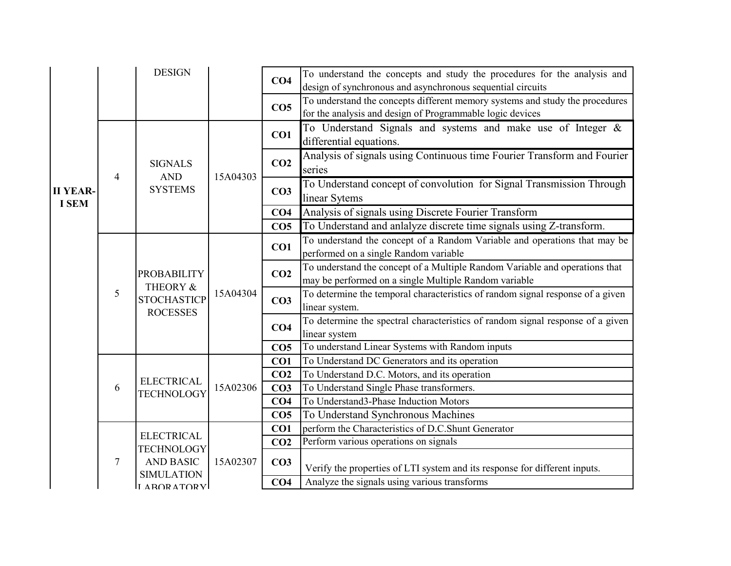|                                 |   | <b>DESIGN</b>                                                           |          | CO <sub>4</sub> | To understand the concepts and study the procedures for the analysis and<br>design of synchronous and asynchronous sequential circuits    |
|---------------------------------|---|-------------------------------------------------------------------------|----------|-----------------|-------------------------------------------------------------------------------------------------------------------------------------------|
|                                 |   |                                                                         |          | CO <sub>5</sub> | To understand the concepts different memory systems and study the procedures<br>for the analysis and design of Programmable logic devices |
|                                 |   |                                                                         |          | CO1             | To Understand Signals and systems and make use of Integer &<br>differential equations.                                                    |
|                                 | 4 | <b>SIGNALS</b><br><b>AND</b>                                            |          | CO <sub>2</sub> | Analysis of signals using Continuous time Fourier Transform and Fourier<br>series                                                         |
| <b>II YEAR-</b><br><b>I SEM</b> |   | <b>SYSTEMS</b>                                                          | 15A04303 | CO <sub>3</sub> | To Understand concept of convolution for Signal Transmission Through<br>linear Sytems                                                     |
|                                 |   |                                                                         |          | CO <sub>4</sub> | Analysis of signals using Discrete Fourier Transform                                                                                      |
|                                 |   |                                                                         |          | CO <sub>5</sub> | To Understand and anlalyze discrete time signals using Z-transform.                                                                       |
|                                 | 5 | <b>PROBABILITY</b><br>THEORY &<br><b>STOCHASTICP</b><br><b>ROCESSES</b> | 15A04304 | CO1             | To understand the concept of a Random Variable and operations that may be<br>performed on a single Random variable                        |
|                                 |   |                                                                         |          | CO <sub>2</sub> | To understand the concept of a Multiple Random Variable and operations that<br>may be performed on a single Multiple Random variable      |
|                                 |   |                                                                         |          | CO <sub>3</sub> | To determine the temporal characteristics of random signal response of a given<br>linear system.                                          |
|                                 |   |                                                                         |          | CO <sub>4</sub> | To determine the spectral characteristics of random signal response of a given<br>linear system                                           |
|                                 |   |                                                                         |          | CO <sub>5</sub> | To understand Linear Systems with Random inputs                                                                                           |
|                                 |   |                                                                         |          | CO <sub>1</sub> | To Understand DC Generators and its operation                                                                                             |
|                                 |   | <b>ELECTRICAL</b>                                                       |          | CO <sub>2</sub> | To Understand D.C. Motors, and its operation                                                                                              |
|                                 | 6 | <b>TECHNOLOGY</b>                                                       | 15A02306 | CO <sub>3</sub> | To Understand Single Phase transformers.                                                                                                  |
|                                 |   |                                                                         |          | CO <sub>4</sub> | To Understand3-Phase Induction Motors                                                                                                     |
|                                 |   |                                                                         |          | CO <sub>5</sub> | To Understand Synchronous Machines                                                                                                        |
|                                 |   | <b>ELECTRICAL</b>                                                       |          | CO <sub>1</sub> | perform the Characteristics of D.C.Shunt Generator                                                                                        |
|                                 |   | <b>TECHNOLOGY</b>                                                       |          | CO <sub>2</sub> | Perform various operations on signals                                                                                                     |
|                                 | 7 | <b>AND BASIC</b><br><b>SIMULATION</b>                                   | 15A02307 | CO <sub>3</sub> | Verify the properties of LTI system and its response for different inputs.                                                                |
|                                 |   | ILAROR ATORYL                                                           |          | CO <sub>4</sub> | Analyze the signals using various transforms                                                                                              |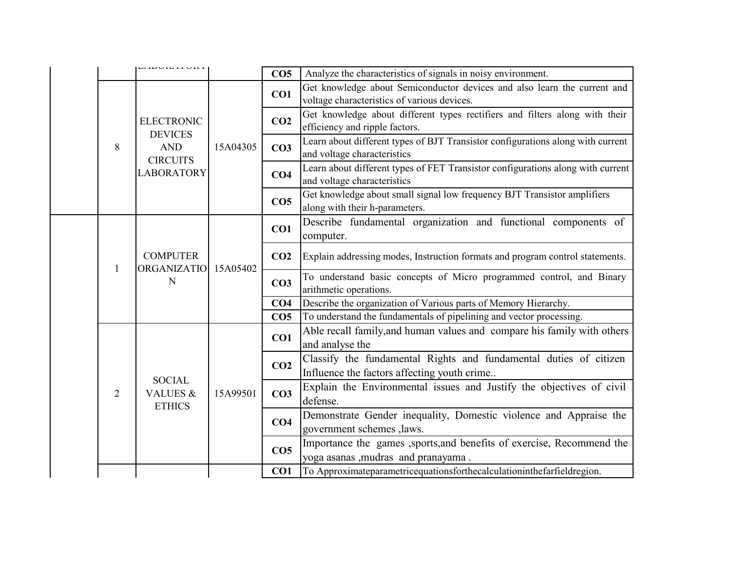|  |                | <i>unonun</i> on                                     |          | CO <sub>5</sub> | Analyze the characteristics of signals in noisy environment.                                                            |
|--|----------------|------------------------------------------------------|----------|-----------------|-------------------------------------------------------------------------------------------------------------------------|
|  |                |                                                      |          | CO1             | Get knowledge about Semiconductor devices and also learn the current and<br>voltage characteristics of various devices. |
|  |                | <b>ELECTRONIC</b><br><b>DEVICES</b>                  |          | CO <sub>2</sub> | Get knowledge about different types rectifiers and filters along with their<br>efficiency and ripple factors.           |
|  | 8              | <b>AND</b><br><b>CIRCUITS</b>                        | 15A04305 | CO <sub>3</sub> | Learn about different types of BJT Transistor configurations along with current<br>and voltage characteristics          |
|  |                | <b>LABORATORY</b>                                    |          | CO <sub>4</sub> | Learn about different types of FET Transistor configurations along with current<br>and voltage characteristics          |
|  |                |                                                      |          | CO <sub>5</sub> | Get knowledge about small signal low frequency BJT Transistor amplifiers<br>along with their h-parameters.              |
|  | 1              | <b>COMPUTER</b><br><b>ORGANIZATIO</b><br>$\mathbf N$ | 15A05402 | CO1             | Describe fundamental organization and functional components of<br>computer.                                             |
|  |                |                                                      |          | CO <sub>2</sub> | Explain addressing modes, Instruction formats and program control statements.                                           |
|  |                |                                                      |          | CO <sub>3</sub> | To understand basic concepts of Micro programmed control, and Binary<br>arithmetic operations.                          |
|  |                |                                                      |          | CO <sub>4</sub> | Describe the organization of Various parts of Memory Hierarchy.                                                         |
|  |                |                                                      |          | CO <sub>5</sub> | To understand the fundamentals of pipelining and vector processing.                                                     |
|  |                |                                                      | 15A99501 | CO1             | Able recall family, and human values and compare his family with others<br>and analyse the                              |
|  |                | <b>SOCIAL</b>                                        |          | CO <sub>2</sub> | Classify the fundamental Rights and fundamental duties of citizen<br>Influence the factors affecting youth crime        |
|  | $\overline{2}$ | <b>VALUES &amp;</b><br><b>ETHICS</b>                 |          | CO <sub>3</sub> | Explain the Environmental issues and Justify the objectives of civil<br>defense.                                        |
|  |                |                                                      |          | CO <sub>4</sub> | Demonstrate Gender inequality, Domestic violence and Appraise the<br>government schemes , laws.                         |
|  |                |                                                      |          | CO <sub>5</sub> | Importance the games , sports, and benefits of exercise, Recommend the<br>yoga asanas , mudras and pranayama.           |
|  |                |                                                      |          | CO1             | To Approximateparametricequationsforthecalculationinthefarfieldregion.                                                  |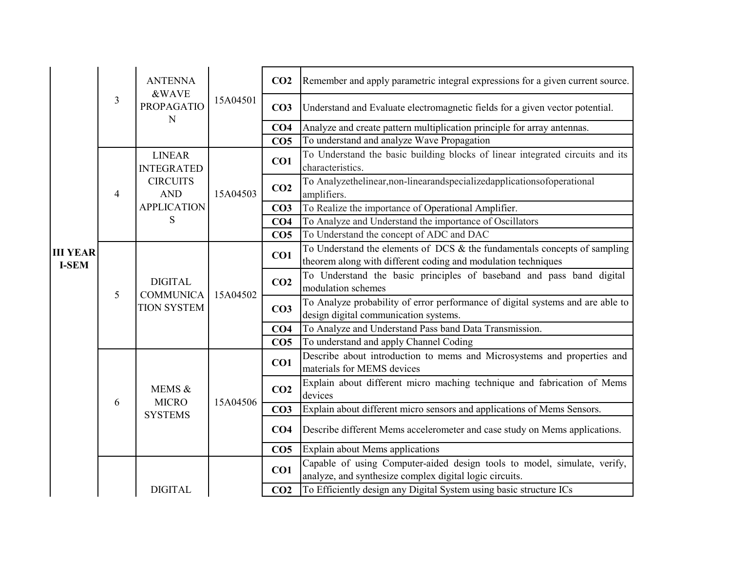|                                 |   | <b>ANTENNA</b><br><b>&amp;WAVE</b><br><b>PROPAGATIO</b>  | 15A04501 | CO <sub>2</sub> | Remember and apply parametric integral expressions for a given current source.                                                                |
|---------------------------------|---|----------------------------------------------------------|----------|-----------------|-----------------------------------------------------------------------------------------------------------------------------------------------|
|                                 | 3 |                                                          |          | CO <sub>3</sub> | Understand and Evaluate electromagnetic fields for a given vector potential.                                                                  |
|                                 |   | N                                                        |          | CO <sub>4</sub> | Analyze and create pattern multiplication principle for array antennas.                                                                       |
|                                 |   |                                                          |          | CO <sub>5</sub> | To understand and analyze Wave Propagation                                                                                                    |
|                                 |   | <b>LINEAR</b><br><b>INTEGRATED</b>                       |          | CO1             | To Understand the basic building blocks of linear integrated circuits and its<br>characteristics.                                             |
|                                 | 4 | <b>CIRCUITS</b><br><b>AND</b>                            | 15A04503 | CO <sub>2</sub> | To Analyzethelinear, non-linearandspecializedapplications of operational<br>amplifiers.                                                       |
|                                 |   | <b>APPLICATION</b>                                       |          | CO <sub>3</sub> | To Realize the importance of Operational Amplifier.                                                                                           |
|                                 |   | S                                                        |          | CO <sub>4</sub> | To Analyze and Understand the importance of Oscillators                                                                                       |
|                                 |   |                                                          |          | CO <sub>5</sub> | To Understand the concept of ADC and DAC                                                                                                      |
| <b>III YEAR</b><br><b>I-SEM</b> | 5 | <b>DIGITAL</b><br><b>COMMUNICA</b><br><b>TION SYSTEM</b> | 15A04502 | CO1             | To Understand the elements of DCS $\&$ the fundamentals concepts of sampling<br>theorem along with different coding and modulation techniques |
|                                 |   |                                                          |          | CO <sub>2</sub> | To Understand the basic principles of baseband and pass band digital<br>modulation schemes                                                    |
|                                 |   |                                                          |          | CO <sub>3</sub> | To Analyze probability of error performance of digital systems and are able to<br>design digital communication systems.                       |
|                                 |   |                                                          |          | CO <sub>4</sub> | To Analyze and Understand Pass band Data Transmission.                                                                                        |
|                                 |   |                                                          |          | CO <sub>5</sub> | To understand and apply Channel Coding                                                                                                        |
|                                 |   |                                                          |          | CO1             | Describe about introduction to mems and Microsystems and properties and<br>materials for MEMS devices                                         |
|                                 | 6 | MEMS &<br><b>MICRO</b>                                   |          | CO <sub>2</sub> | Explain about different micro maching technique and fabrication of Mems<br>devices                                                            |
|                                 |   | <b>SYSTEMS</b>                                           | 15A04506 | CO <sub>3</sub> | Explain about different micro sensors and applications of Mems Sensors.                                                                       |
|                                 |   |                                                          |          | CO <sub>4</sub> | Describe different Mems accelerometer and case study on Mems applications.                                                                    |
|                                 |   |                                                          |          | CO <sub>5</sub> | Explain about Mems applications                                                                                                               |
|                                 |   |                                                          |          | CO1             | Capable of using Computer-aided design tools to model, simulate, verify,<br>analyze, and synthesize complex digital logic circuits.           |
|                                 |   | <b>DIGITAL</b>                                           |          | CO <sub>2</sub> | To Efficiently design any Digital System using basic structure ICs                                                                            |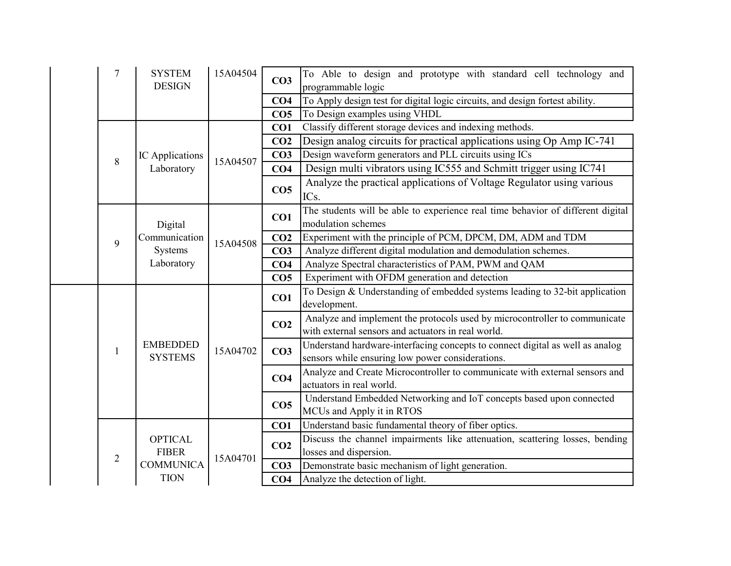|  | 7              | <b>SYSTEM</b><br><b>DESIGN</b>         | 15A04504 | CO <sub>3</sub> | To Able to design and prototype with standard cell technology and<br>programmable logic                                           |
|--|----------------|----------------------------------------|----------|-----------------|-----------------------------------------------------------------------------------------------------------------------------------|
|  |                |                                        |          | CO <sub>4</sub> | To Apply design test for digital logic circuits, and design fortest ability.                                                      |
|  |                |                                        |          | CO <sub>5</sub> | To Design examples using VHDL                                                                                                     |
|  |                |                                        |          | CO1             | Classify different storage devices and indexing methods.                                                                          |
|  |                |                                        |          | CO <sub>2</sub> | Design analog circuits for practical applications using Op Amp IC-741                                                             |
|  | $8\,$          | IC Applications                        | 15A04507 | CO <sub>3</sub> | Design waveform generators and PLL circuits using ICs                                                                             |
|  |                | Laboratory                             |          | CO <sub>4</sub> | Design multi vibrators using IC555 and Schmitt trigger using IC741                                                                |
|  |                |                                        |          | CO <sub>5</sub> | Analyze the practical applications of Voltage Regulator using various<br>ICs.                                                     |
|  |                | Digital                                |          | CO1             | The students will be able to experience real time behavior of different digital<br>modulation schemes                             |
|  | 9              | Communication<br>Systems<br>Laboratory | 15A04508 | CO <sub>2</sub> | Experiment with the principle of PCM, DPCM, DM, ADM and TDM                                                                       |
|  |                |                                        |          | CO <sub>3</sub> | Analyze different digital modulation and demodulation schemes.                                                                    |
|  |                |                                        |          | CO <sub>4</sub> | Analyze Spectral characteristics of PAM, PWM and QAM                                                                              |
|  |                |                                        |          | CO <sub>5</sub> | Experiment with OFDM generation and detection                                                                                     |
|  |                | <b>EMBEDDED</b><br><b>SYSTEMS</b>      | 15A04702 | CO1             | To Design & Understanding of embedded systems leading to 32-bit application<br>development.                                       |
|  |                |                                        |          | CO <sub>2</sub> | Analyze and implement the protocols used by microcontroller to communicate<br>with external sensors and actuators in real world.  |
|  | 1              |                                        |          | CO <sub>3</sub> | Understand hardware-interfacing concepts to connect digital as well as analog<br>sensors while ensuring low power considerations. |
|  |                |                                        |          | CO <sub>4</sub> | Analyze and Create Microcontroller to communicate with external sensors and<br>actuators in real world.                           |
|  |                |                                        |          | CO <sub>5</sub> | Understand Embedded Networking and IoT concepts based upon connected<br>MCUs and Apply it in RTOS                                 |
|  |                |                                        |          | CO1             | Understand basic fundamental theory of fiber optics.                                                                              |
|  |                | <b>OPTICAL</b><br><b>FIBER</b>         |          | CO <sub>2</sub> | Discuss the channel impairments like attenuation, scattering losses, bending<br>losses and dispersion.                            |
|  | $\overline{2}$ | <b>COMMUNICA</b>                       | 15A04701 | CO <sub>3</sub> | Demonstrate basic mechanism of light generation.                                                                                  |
|  |                | <b>TION</b>                            |          | CO4             | Analyze the detection of light.                                                                                                   |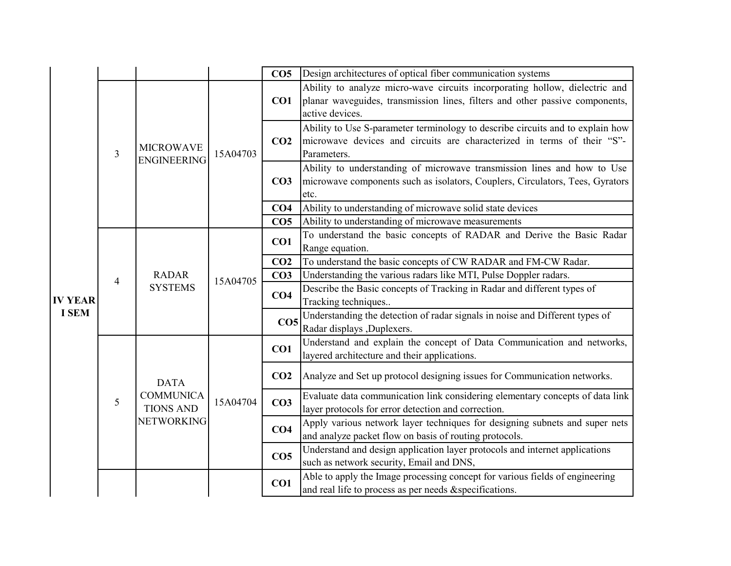|              |                |                                        |          | CO <sub>5</sub> | Design architectures of optical fiber communication systems                                                                                                                    |
|--------------|----------------|----------------------------------------|----------|-----------------|--------------------------------------------------------------------------------------------------------------------------------------------------------------------------------|
|              |                |                                        | 15A04703 | CO1             | Ability to analyze micro-wave circuits incorporating hollow, dielectric and<br>planar waveguides, transmission lines, filters and other passive components,<br>active devices. |
|              | 3              | <b>MICROWAVE</b><br><b>ENGINEERING</b> |          | CO <sub>2</sub> | Ability to Use S-parameter terminology to describe circuits and to explain how<br>microwave devices and circuits are characterized in terms of their "S"-<br>Parameters.       |
|              |                |                                        |          | CO <sub>3</sub> | Ability to understanding of microwave transmission lines and how to Use<br>microwave components such as isolators, Couplers, Circulators, Tees, Gyrators<br>etc.               |
|              |                |                                        |          | CO <sub>4</sub> | Ability to understanding of microwave solid state devices                                                                                                                      |
|              |                |                                        |          | CO <sub>5</sub> | Ability to understanding of microwave measurements                                                                                                                             |
|              |                | <b>RADAR</b><br><b>SYSTEMS</b>         | 15A04705 | CO1             | To understand the basic concepts of RADAR and Derive the Basic Radar<br>Range equation.                                                                                        |
|              | $\overline{4}$ |                                        |          | CO <sub>2</sub> | To understand the basic concepts of CW RADAR and FM-CW Radar.                                                                                                                  |
|              |                |                                        |          | CO <sub>3</sub> | Understanding the various radars like MTI, Pulse Doppler radars.                                                                                                               |
| IV YEAR      |                |                                        |          | CO <sub>4</sub> | Describe the Basic concepts of Tracking in Radar and different types of<br>Tracking techniques                                                                                 |
| <b>I SEM</b> |                |                                        |          | CO <sub>5</sub> | Understanding the detection of radar signals in noise and Different types of<br>Radar displays , Duplexers.                                                                    |
|              |                |                                        |          | CO1             | Understand and explain the concept of Data Communication and networks,<br>layered architecture and their applications.                                                         |
|              |                | <b>DATA</b>                            |          | CO <sub>2</sub> | Analyze and Set up protocol designing issues for Communication networks.                                                                                                       |
|              | 5              | <b>COMMUNICA</b><br><b>TIONS AND</b>   | 15A04704 | CO <sub>3</sub> | Evaluate data communication link considering elementary concepts of data link<br>layer protocols for error detection and correction.                                           |
|              |                | <b>NETWORKING</b>                      |          | CO <sub>4</sub> | Apply various network layer techniques for designing subnets and super nets<br>and analyze packet flow on basis of routing protocols.                                          |
|              |                |                                        |          | CO <sub>5</sub> | Understand and design application layer protocols and internet applications<br>such as network security, Email and DNS,                                                        |
|              |                |                                        |          | CO1             | Able to apply the Image processing concept for various fields of engineering<br>and real life to process as per needs &specifications.                                         |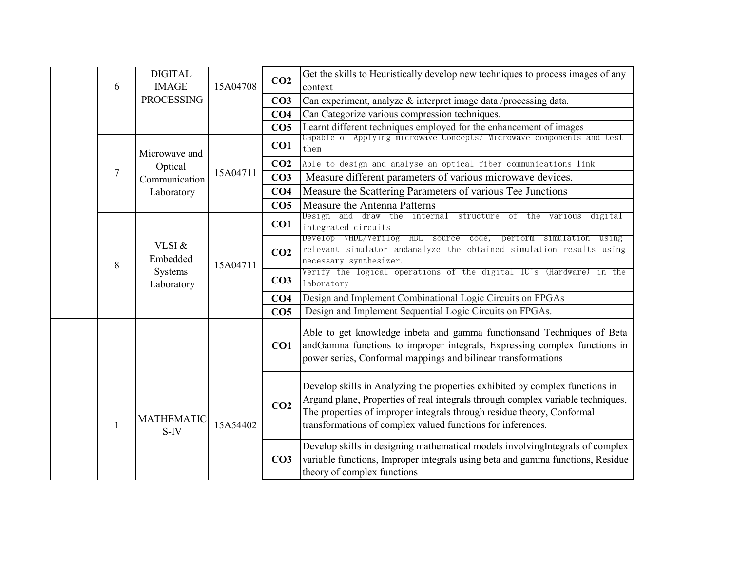|  | 6            | <b>DIGITAL</b><br><b>IMAGE</b>              | 15A04708 | CO <sub>2</sub> | Get the skills to Heuristically develop new techniques to process images of any<br>context                                                                                                                                                                                                               |
|--|--------------|---------------------------------------------|----------|-----------------|----------------------------------------------------------------------------------------------------------------------------------------------------------------------------------------------------------------------------------------------------------------------------------------------------------|
|  |              | <b>PROCESSING</b>                           |          | CO <sub>3</sub> | Can experiment, analyze & interpret image data /processing data.                                                                                                                                                                                                                                         |
|  |              |                                             |          | CO <sub>4</sub> | Can Categorize various compression techniques.                                                                                                                                                                                                                                                           |
|  |              |                                             |          | CO <sub>5</sub> | Learnt different techniques employed for the enhancement of images                                                                                                                                                                                                                                       |
|  |              | Microwave and                               |          | CO1             | Capable of Applying microwave Concepts/ Microwave components and test<br>them                                                                                                                                                                                                                            |
|  |              | Optical                                     |          | CO <sub>2</sub> | Able to design and analyse an optical fiber communications link                                                                                                                                                                                                                                          |
|  | $\tau$       | Communication                               | 15A04711 | CO <sub>3</sub> | Measure different parameters of various microwave devices.                                                                                                                                                                                                                                               |
|  |              | Laboratory                                  |          | CO <sub>4</sub> | Measure the Scattering Parameters of various Tee Junctions                                                                                                                                                                                                                                               |
|  |              |                                             |          | CO <sub>5</sub> | Measure the Antenna Patterns                                                                                                                                                                                                                                                                             |
|  |              |                                             |          | CO1             | Design and draw the internal structure of the various<br>digital<br>integrated circuits                                                                                                                                                                                                                  |
|  | 8            | VLSI &<br>Embedded<br>Systems<br>Laboratory | 15A04711 | CO <sub>2</sub> | Develop VHDL/Verilog HDL source code, pertorm simulation using<br>relevant simulator andanalyze the obtained simulation results using<br>necessary synthesizer.                                                                                                                                          |
|  |              |                                             |          | CO <sub>3</sub> | Verify the logical operations of the digital IC"s (Hardware) in the<br>laboratory                                                                                                                                                                                                                        |
|  |              |                                             |          | CO <sub>4</sub> | Design and Implement Combinational Logic Circuits on FPGAs                                                                                                                                                                                                                                               |
|  |              |                                             |          | CO <sub>5</sub> | Design and Implement Sequential Logic Circuits on FPGAs.                                                                                                                                                                                                                                                 |
|  |              |                                             |          | CO1             | Able to get knowledge inbeta and gamma functionsand Techniques of Beta<br>andGamma functions to improper integrals, Expressing complex functions in<br>power series, Conformal mappings and bilinear transformations                                                                                     |
|  | $\mathbf{1}$ | <b>MATHEMATIC</b><br>$S-IV$                 | 15A54402 | CO <sub>2</sub> | Develop skills in Analyzing the properties exhibited by complex functions in<br>Argand plane, Properties of real integrals through complex variable techniques,<br>The properties of improper integrals through residue theory, Conformal<br>transformations of complex valued functions for inferences. |
|  |              |                                             |          | CO <sub>3</sub> | Develop skills in designing mathematical models involving Integrals of complex<br>variable functions, Improper integrals using beta and gamma functions, Residue<br>theory of complex functions                                                                                                          |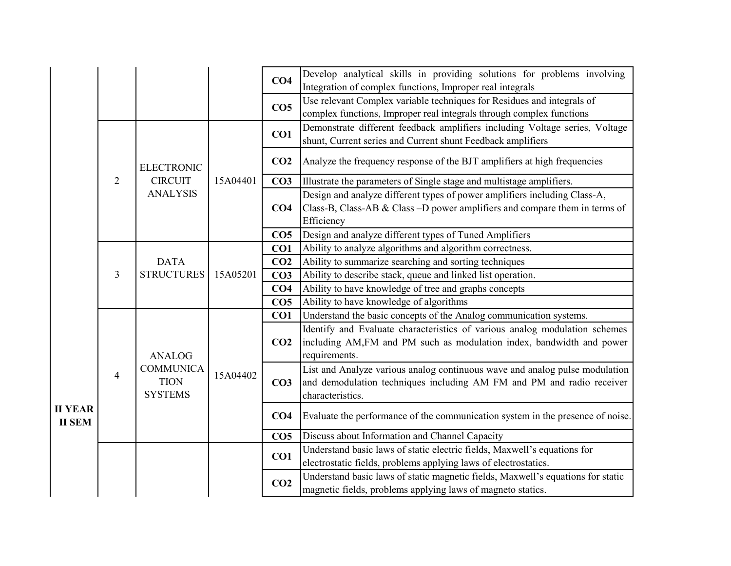|                |                |                                  |          | CO <sub>4</sub> | Develop analytical skills in providing solutions for problems involving                                                                              |
|----------------|----------------|----------------------------------|----------|-----------------|------------------------------------------------------------------------------------------------------------------------------------------------------|
|                |                |                                  |          |                 | Integration of complex functions, Improper real integrals                                                                                            |
|                |                |                                  |          | CO <sub>5</sub> | Use relevant Complex variable techniques for Residues and integrals of                                                                               |
|                |                |                                  |          |                 | complex functions, Improper real integrals through complex functions                                                                                 |
|                |                |                                  |          | CO1             | Demonstrate different feedback amplifiers including Voltage series, Voltage                                                                          |
|                |                |                                  |          |                 | shunt, Current series and Current shunt Feedback amplifiers                                                                                          |
|                |                | <b>ELECTRONIC</b>                |          | CO <sub>2</sub> | Analyze the frequency response of the BJT amplifiers at high frequencies                                                                             |
|                | $\overline{2}$ | <b>CIRCUIT</b>                   | 15A04401 | CO <sub>3</sub> | Illustrate the parameters of Single stage and multistage amplifiers.                                                                                 |
|                |                | <b>ANALYSIS</b>                  |          |                 | Design and analyze different types of power amplifiers including Class-A,                                                                            |
|                |                |                                  |          | CO <sub>4</sub> | Class-B, Class-AB & Class -D power amplifiers and compare them in terms of                                                                           |
|                |                |                                  |          |                 | Efficiency                                                                                                                                           |
|                |                |                                  |          | CO <sub>5</sub> | Design and analyze different types of Tuned Amplifiers                                                                                               |
|                |                | <b>DATA</b><br><b>STRUCTURES</b> | 15A05201 | CO1             | Ability to analyze algorithms and algorithm correctness.                                                                                             |
|                | 3              |                                  |          | CO <sub>2</sub> | Ability to summarize searching and sorting techniques                                                                                                |
|                |                |                                  |          | CO <sub>3</sub> | Ability to describe stack, queue and linked list operation.                                                                                          |
|                |                |                                  |          | CO <sub>4</sub> | Ability to have knowledge of tree and graphs concepts                                                                                                |
|                |                |                                  |          | CO <sub>5</sub> | Ability to have knowledge of algorithms                                                                                                              |
|                |                |                                  |          | CO1             | Understand the basic concepts of the Analog communication systems.                                                                                   |
|                |                |                                  | 15A04402 |                 | Identify and Evaluate characteristics of various analog modulation schemes                                                                           |
|                |                |                                  |          | CO <sub>2</sub> | including AM,FM and PM such as modulation index, bandwidth and power                                                                                 |
|                |                | <b>ANALOG</b>                    |          |                 | requirements.                                                                                                                                        |
|                | 4              | <b>COMMUNICA</b><br><b>TION</b>  |          | CO <sub>3</sub> | List and Analyze various analog continuous wave and analog pulse modulation<br>and demodulation techniques including AM FM and PM and radio receiver |
|                |                | <b>SYSTEMS</b>                   |          |                 | characteristics.                                                                                                                                     |
| <b>II YEAR</b> |                |                                  |          |                 |                                                                                                                                                      |
| <b>II SEM</b>  |                |                                  |          | CO <sub>4</sub> | Evaluate the performance of the communication system in the presence of noise.                                                                       |
|                |                |                                  |          | CO <sub>5</sub> | Discuss about Information and Channel Capacity                                                                                                       |
|                |                |                                  |          | CO1             | Understand basic laws of static electric fields, Maxwell's equations for                                                                             |
|                |                |                                  |          |                 | electrostatic fields, problems applying laws of electrostatics.                                                                                      |
|                |                |                                  |          | CO <sub>2</sub> | Understand basic laws of static magnetic fields, Maxwell's equations for static                                                                      |
|                |                |                                  |          |                 | magnetic fields, problems applying laws of magneto statics.                                                                                          |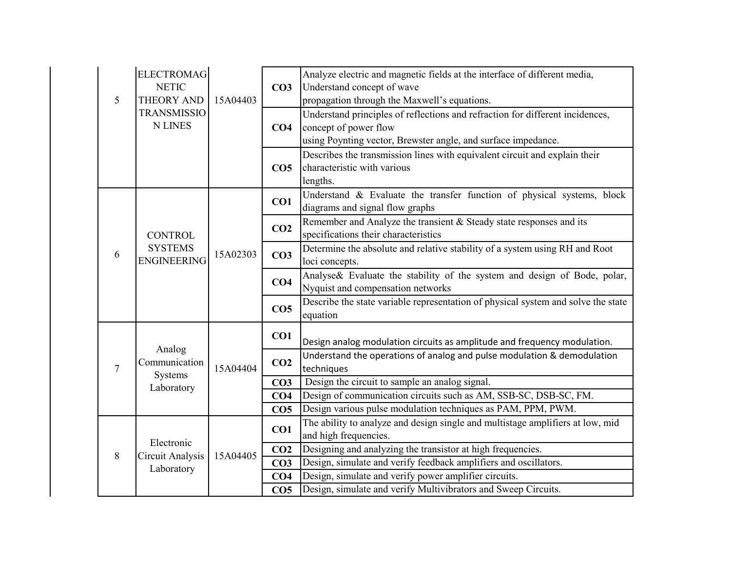|                | <b>ELECTROMAG</b><br><b>NETIC</b>    |          | CO <sub>3</sub> | Analyze electric and magnetic fields at the interface of different media,<br>Understand concept of wave |
|----------------|--------------------------------------|----------|-----------------|---------------------------------------------------------------------------------------------------------|
| 5              | THEORY AND                           | 15A04403 |                 | propagation through the Maxwell's equations.                                                            |
|                | <b>TRANSMISSIO</b>                   |          |                 | Understand principles of reflections and refraction for different incidences,                           |
|                | <b>N LINES</b>                       |          | CO <sub>4</sub> | concept of power flow                                                                                   |
|                |                                      |          |                 | using Poynting vector, Brewster angle, and surface impedance.                                           |
|                |                                      |          |                 | Describes the transmission lines with equivalent circuit and explain their                              |
|                |                                      |          | CO <sub>5</sub> | characteristic with various                                                                             |
|                |                                      |          |                 | lengths.                                                                                                |
|                |                                      |          | CO1             | Understand & Evaluate the transfer function of physical systems, block                                  |
|                |                                      |          |                 | diagrams and signal flow graphs                                                                         |
|                |                                      |          |                 | Remember and Analyze the transient & Steady state responses and its                                     |
|                | <b>CONTROL</b>                       | 15A02303 | CO <sub>2</sub> | specifications their characteristics                                                                    |
| 6              | <b>SYSTEMS</b><br><b>ENGINEERING</b> |          | CO <sub>3</sub> | Determine the absolute and relative stability of a system using RH and Root                             |
|                |                                      |          |                 | loci concepts.                                                                                          |
|                |                                      |          | CO <sub>4</sub> | Analyse& Evaluate the stability of the system and design of Bode, polar,                                |
|                |                                      |          |                 | Nyquist and compensation networks                                                                       |
|                |                                      |          |                 | Describe the state variable representation of physical system and solve the state                       |
|                |                                      |          | CO <sub>5</sub> | equation                                                                                                |
|                |                                      |          |                 |                                                                                                         |
|                |                                      |          | CO1             | Design analog modulation circuits as amplitude and frequency modulation.                                |
|                | Analog<br>Communication              |          |                 | Understand the operations of analog and pulse modulation & demodulation                                 |
| $\overline{7}$ | Systems                              | 15A04404 | CO <sub>2</sub> | techniques                                                                                              |
|                | Laboratory                           |          | CO <sub>3</sub> | Design the circuit to sample an analog signal.                                                          |
|                |                                      |          | CO <sub>4</sub> | Design of communication circuits such as AM, SSB-SC, DSB-SC, FM.                                        |
|                |                                      |          | CO <sub>5</sub> | Design various pulse modulation techniques as PAM, PPM, PWM.                                            |
|                |                                      |          |                 | The ability to analyze and design single and multistage amplifiers at low, mid                          |
|                | Electronic                           |          | CO1             | and high frequencies.                                                                                   |
| 8              | Circuit Analysis                     | 15A04405 | CO <sub>2</sub> | Designing and analyzing the transistor at high frequencies.                                             |
|                | Laboratory                           |          | CO <sub>3</sub> | Design, simulate and verify feedback amplifiers and oscillators.                                        |
|                |                                      |          | CO <sub>4</sub> | Design, simulate and verify power amplifier circuits.                                                   |
|                |                                      |          | CO <sub>5</sub> | Design, simulate and verify Multivibrators and Sweep Circuits.                                          |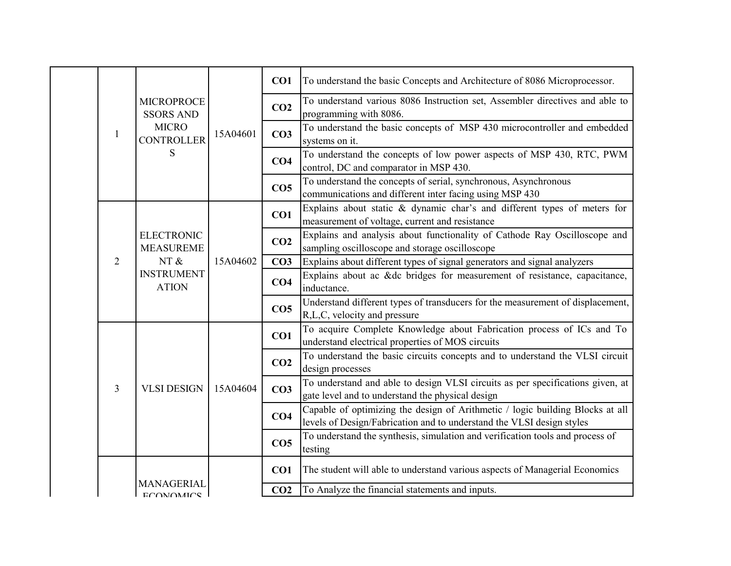|  |                | <b>MICROPROCE</b><br><b>SSORS AND</b>                                              |          | CO1             | To understand the basic Concepts and Architecture of 8086 Microprocessor.                                                                              |
|--|----------------|------------------------------------------------------------------------------------|----------|-----------------|--------------------------------------------------------------------------------------------------------------------------------------------------------|
|  |                |                                                                                    |          | CO <sub>2</sub> | To understand various 8086 Instruction set, Assembler directives and able to<br>programming with 8086.                                                 |
|  | 1              | <b>MICRO</b><br><b>CONTROLLER</b>                                                  | 15A04601 | CO <sub>3</sub> | To understand the basic concepts of MSP 430 microcontroller and embedded<br>systems on it.                                                             |
|  |                | S                                                                                  |          | CO <sub>4</sub> | To understand the concepts of low power aspects of MSP 430, RTC, PWM<br>control, DC and comparator in MSP 430.                                         |
|  |                |                                                                                    |          | CO <sub>5</sub> | To understand the concepts of serial, synchronous, Asynchronous<br>communications and different inter facing using MSP 430                             |
|  |                |                                                                                    |          | CO1             | Explains about static & dynamic char's and different types of meters for<br>measurement of voltage, current and resistance                             |
|  |                | <b>ELECTRONIC</b><br><b>MEASUREME</b><br>NT &<br><b>INSTRUMENT</b><br><b>ATION</b> | 15A04602 | CO <sub>2</sub> | Explains and analysis about functionality of Cathode Ray Oscilloscope and<br>sampling oscilloscope and storage oscilloscope                            |
|  | $\overline{2}$ |                                                                                    |          | CO <sub>3</sub> | Explains about different types of signal generators and signal analyzers                                                                               |
|  |                |                                                                                    |          | CO <sub>4</sub> | Explains about ac &dc bridges for measurement of resistance, capacitance,<br>inductance.                                                               |
|  |                |                                                                                    |          | CO <sub>5</sub> | Understand different types of transducers for the measurement of displacement,<br>R,L,C, velocity and pressure                                         |
|  |                |                                                                                    | 15A04604 | CO1             | To acquire Complete Knowledge about Fabrication process of ICs and To<br>understand electrical properties of MOS circuits                              |
|  |                |                                                                                    |          | CO <sub>2</sub> | To understand the basic circuits concepts and to understand the VLSI circuit<br>design processes                                                       |
|  | 3              | <b>VLSI DESIGN</b>                                                                 |          | CO <sub>3</sub> | To understand and able to design VLSI circuits as per specifications given, at<br>gate level and to understand the physical design                     |
|  |                |                                                                                    |          | CO <sub>4</sub> | Capable of optimizing the design of Arithmetic / logic building Blocks at all<br>levels of Design/Fabrication and to understand the VLSI design styles |
|  |                |                                                                                    |          | CO <sub>5</sub> | To understand the synthesis, simulation and verification tools and process of<br>testing                                                               |
|  |                |                                                                                    |          | CO1             | The student will able to understand various aspects of Managerial Economics                                                                            |
|  |                | MANAGERIAI<br><b>ECONOMICS</b>                                                     |          | CO <sub>2</sub> | To Analyze the financial statements and inputs.                                                                                                        |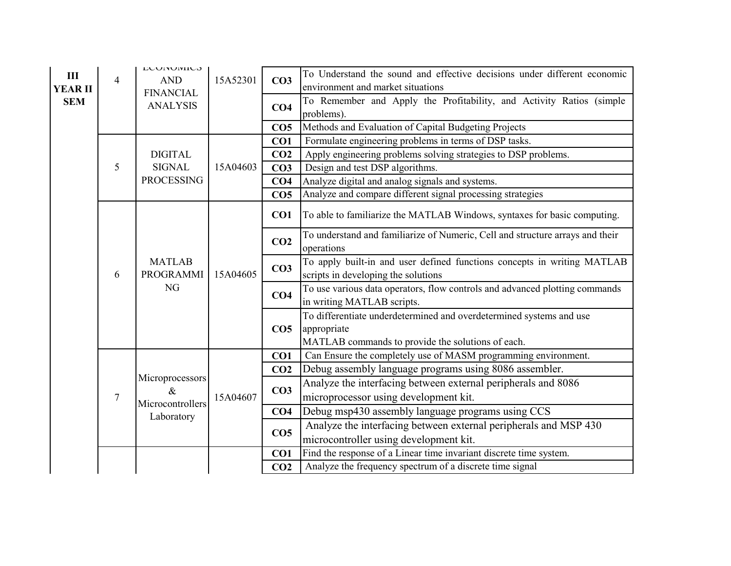| Ш<br><b>YEAR II</b><br><b>SEM</b> | $\overline{4}$ | <b>LUUNUIVIIUS</b><br><b>AND</b><br><b>FINANCIAL</b><br><b>ANALYSIS</b> | 15A52301 | CO <sub>3</sub><br>CO <sub>4</sub> | To Understand the sound and effective decisions under different economic<br>environment and market situations<br>To Remember and Apply the Profitability, and Activity Ratios (simple<br>problems). |
|-----------------------------------|----------------|-------------------------------------------------------------------------|----------|------------------------------------|-----------------------------------------------------------------------------------------------------------------------------------------------------------------------------------------------------|
|                                   |                |                                                                         |          | CO <sub>5</sub>                    | Methods and Evaluation of Capital Budgeting Projects                                                                                                                                                |
|                                   |                |                                                                         |          | CO1                                | Formulate engineering problems in terms of DSP tasks.                                                                                                                                               |
|                                   |                | <b>DIGITAL</b>                                                          |          | CO <sub>2</sub>                    | Apply engineering problems solving strategies to DSP problems.                                                                                                                                      |
|                                   | 5              | <b>SIGNAL</b>                                                           | 15A04603 | CO <sub>3</sub>                    | Design and test DSP algorithms.                                                                                                                                                                     |
|                                   |                | <b>PROCESSING</b>                                                       |          | CO <sub>4</sub>                    | Analyze digital and analog signals and systems.                                                                                                                                                     |
|                                   |                |                                                                         |          | CO <sub>5</sub>                    | Analyze and compare different signal processing strategies                                                                                                                                          |
|                                   |                |                                                                         |          | CO1                                | To able to familiarize the MATLAB Windows, syntaxes for basic computing.                                                                                                                            |
|                                   | 6              | <b>MATLAB</b><br>PROGRAMMI<br>NG                                        | 15A04605 | CO <sub>2</sub>                    | To understand and familiarize of Numeric, Cell and structure arrays and their<br>operations                                                                                                         |
|                                   |                |                                                                         |          | CO <sub>3</sub>                    | To apply built-in and user defined functions concepts in writing MATLAB<br>scripts in developing the solutions                                                                                      |
|                                   |                |                                                                         |          | CO <sub>4</sub>                    | To use various data operators, flow controls and advanced plotting commands<br>in writing MATLAB scripts.                                                                                           |
|                                   |                |                                                                         |          | CO <sub>5</sub>                    | To differentiate underdetermined and overdetermined systems and use<br>appropriate<br>MATLAB commands to provide the solutions of each.                                                             |
|                                   |                |                                                                         |          | CO1                                | Can Ensure the completely use of MASM programming environment.                                                                                                                                      |
|                                   |                |                                                                         |          | CO <sub>2</sub>                    | Debug assembly language programs using 8086 assembler.                                                                                                                                              |
|                                   |                | Microprocessors                                                         |          |                                    | Analyze the interfacing between external peripherals and 8086                                                                                                                                       |
|                                   | $\tau$         | $\&$                                                                    | 15A04607 | CO <sub>3</sub>                    | microprocessor using development kit.                                                                                                                                                               |
|                                   |                | Microcontrollers                                                        |          | CO <sub>4</sub>                    | Debug msp430 assembly language programs using CCS                                                                                                                                                   |
|                                   |                | Laboratory                                                              |          |                                    | Analyze the interfacing between external peripherals and MSP 430                                                                                                                                    |
|                                   |                |                                                                         |          | CO <sub>5</sub>                    | microcontroller using development kit.                                                                                                                                                              |
|                                   |                |                                                                         |          | CO <sub>1</sub>                    | Find the response of a Linear time invariant discrete time system.                                                                                                                                  |
|                                   |                |                                                                         |          | CO <sub>2</sub>                    | Analyze the frequency spectrum of a discrete time signal                                                                                                                                            |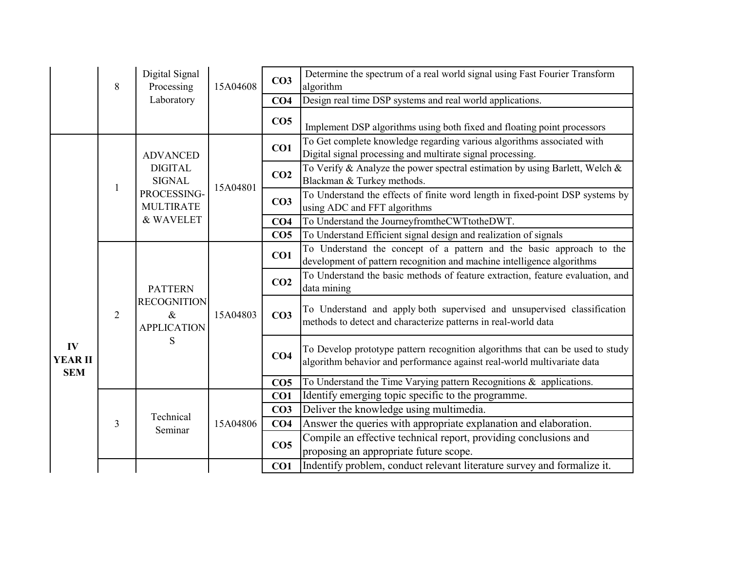|                                    | 8              | Digital Signal<br>Processing                                            | 15A04608 | CO <sub>3</sub> | Determine the spectrum of a real world signal using Fast Fourier Transform<br>algorithm                                                                  |
|------------------------------------|----------------|-------------------------------------------------------------------------|----------|-----------------|----------------------------------------------------------------------------------------------------------------------------------------------------------|
|                                    |                | Laboratory                                                              |          | CO <sub>4</sub> | Design real time DSP systems and real world applications.                                                                                                |
|                                    |                |                                                                         |          | CO <sub>5</sub> | Implement DSP algorithms using both fixed and floating point processors                                                                                  |
|                                    |                | <b>ADVANCED</b>                                                         |          | CO1             | To Get complete knowledge regarding various algorithms associated with<br>Digital signal processing and multirate signal processing.                     |
|                                    |                | <b>DIGITAL</b><br><b>SIGNAL</b>                                         |          | CO <sub>2</sub> | To Verify & Analyze the power spectral estimation by using Barlett, Welch &<br>Blackman & Turkey methods.                                                |
|                                    | $\mathbf{1}$   | PROCESSING-<br><b>MULTIRATE</b>                                         | 15A04801 | CO <sub>3</sub> | To Understand the effects of finite word length in fixed-point DSP systems by<br>using ADC and FFT algorithms                                            |
|                                    |                | & WAVELET                                                               |          | CO <sub>4</sub> | To Understand the JourneyfromtheCWTtotheDWT.                                                                                                             |
|                                    |                |                                                                         |          | CO <sub>5</sub> | To Understand Efficient signal design and realization of signals                                                                                         |
|                                    | $\overline{2}$ | <b>PATTERN</b><br><b>RECOGNITION</b><br>$\&$<br><b>APPLICATION</b><br>S | 15A04803 | CO1             | To Understand the concept of a pattern and the basic approach to the<br>development of pattern recognition and machine intelligence algorithms           |
|                                    |                |                                                                         |          | CO <sub>2</sub> | To Understand the basic methods of feature extraction, feature evaluation, and<br>data mining                                                            |
|                                    |                |                                                                         |          | CO <sub>3</sub> | To Understand and apply both supervised and unsupervised classification<br>methods to detect and characterize patterns in real-world data                |
| IV<br><b>YEAR II</b><br><b>SEM</b> |                |                                                                         |          | CO <sub>4</sub> | To Develop prototype pattern recognition algorithms that can be used to study<br>algorithm behavior and performance against real-world multivariate data |
|                                    |                |                                                                         |          | CO <sub>5</sub> | To Understand the Time Varying pattern Recognitions & applications.                                                                                      |
|                                    |                |                                                                         |          | CO1             | Identify emerging topic specific to the programme.                                                                                                       |
|                                    |                |                                                                         |          | CO <sub>3</sub> | Deliver the knowledge using multimedia.                                                                                                                  |
|                                    | 3              | Technical                                                               | 15A04806 | CO <sub>4</sub> | Answer the queries with appropriate explanation and elaboration.                                                                                         |
|                                    |                | Seminar                                                                 |          | CO <sub>5</sub> | Compile an effective technical report, providing conclusions and<br>proposing an appropriate future scope.                                               |
|                                    |                |                                                                         |          | CO1             | Indentify problem, conduct relevant literature survey and formalize it.                                                                                  |